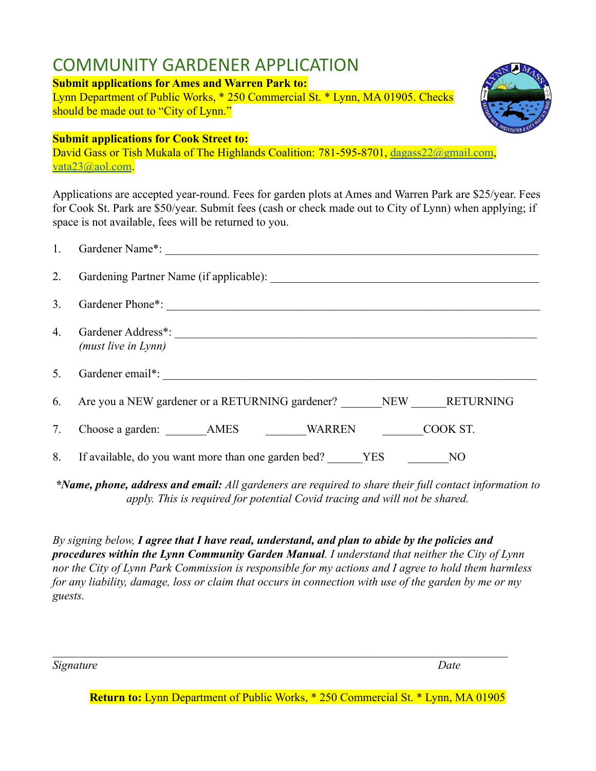# COMMUNITY GARDENER APPLICATION

### **Submit applications for Ames and Warren Park to:**

Lynn Department of Public Works, \* 250 Commercial St. \* Lynn, MA 01905. Checks should be made out to "City of Lynn."

### **Submit applications for Cook Street to:**

David Gass or Tish Mukala of The Highlands Coalition: 781-595-8701, [dagass22@gmail.com](mailto:dagass22@gmail.com), [vata23@aol.com](mailto:vata23@aol.com).

Applications are accepted year-round. Fees for garden plots at Ames and Warren Park are \$25/year. Fees for Cook St. Park are \$50/year. Submit fees (cash or check made out to City of Lynn) when applying; if space is not available, fees will be returned to you.

| 3. |                                                                                |
|----|--------------------------------------------------------------------------------|
| 4. | Gardener Address*:<br>(must live in Lynn)                                      |
|    |                                                                                |
|    | 6. Are you a NEW gardener or a RETURNING gardener? NEW RETURNING               |
| 7. |                                                                                |
|    | 8. If available, do you want more than one garden bed? ______YES ___________NO |

*\*Name, phone, address and email: All gardeners are required to share their full contact information to apply. This is required for potential Covid tracing and will not be shared.*

*By signing below, I agree that I have read, understand, and plan to abide by the policies and procedures within the Lynn Community Garden Manual. I understand that neither the City of Lynn nor the City of Lynn Park Commission is responsible for my actions and I agree to hold them harmless for any liability, damage, loss or claim that occurs in connection with use of the garden by me or my guests.*

*Signature Date*

**Return to:** Lynn Department of Public Works, \* 250 Commercial St. \* Lynn, MA 01905

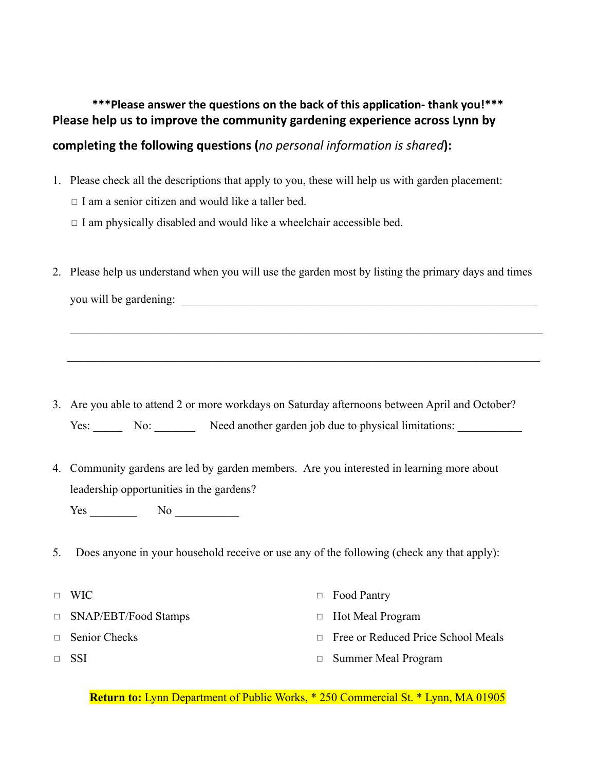## **\*\*\*Please answer the questions on the back of this application- thank you!\*\*\* Please help us to improve the community gardening experience across Lynn by**

### **completing the following questions (***no personal information is shared***):**

- 1. Please check all the descriptions that apply to you, these will help us with garden placement:
	- ◻ I am a senior citizen and would like a taller bed.
	- $\Box$  I am physically disabled and would like a wheelchair accessible bed.
- 2. Please help us understand when you will use the garden most by listing the primary days and times you will be gardening: \_\_\_\_\_\_\_\_\_\_\_\_\_\_\_\_\_\_\_\_\_\_\_\_\_\_\_\_\_\_\_\_\_\_\_\_\_\_\_\_\_\_\_\_\_\_\_\_\_\_\_\_\_\_\_\_\_\_\_\_\_

 $\mathcal{L}_\mathcal{L} = \{ \mathcal{L}_\mathcal{L} = \{ \mathcal{L}_\mathcal{L} = \{ \mathcal{L}_\mathcal{L} = \{ \mathcal{L}_\mathcal{L} = \{ \mathcal{L}_\mathcal{L} = \{ \mathcal{L}_\mathcal{L} = \{ \mathcal{L}_\mathcal{L} = \{ \mathcal{L}_\mathcal{L} = \{ \mathcal{L}_\mathcal{L} = \{ \mathcal{L}_\mathcal{L} = \{ \mathcal{L}_\mathcal{L} = \{ \mathcal{L}_\mathcal{L} = \{ \mathcal{L}_\mathcal{L} = \{ \mathcal{L}_\mathcal{$ 

 $\mathcal{L}_\mathcal{L} = \{ \mathcal{L}_\mathcal{L} = \{ \mathcal{L}_\mathcal{L} = \{ \mathcal{L}_\mathcal{L} = \{ \mathcal{L}_\mathcal{L} = \{ \mathcal{L}_\mathcal{L} = \{ \mathcal{L}_\mathcal{L} = \{ \mathcal{L}_\mathcal{L} = \{ \mathcal{L}_\mathcal{L} = \{ \mathcal{L}_\mathcal{L} = \{ \mathcal{L}_\mathcal{L} = \{ \mathcal{L}_\mathcal{L} = \{ \mathcal{L}_\mathcal{L} = \{ \mathcal{L}_\mathcal{L} = \{ \mathcal{L}_\mathcal{$ 

- 3. Are you able to attend 2 or more workdays on Saturday afternoons between April and October? Yes: No: Need another garden job due to physical limitations:
- 4. Community gardens are led by garden members. Are you interested in learning more about leadership opportunities in the gardens?

Yes No No

- 5. Does anyone in your household receive or use any of the following (check any that apply):
- ◻ WIC
- ◻ SNAP/EBT/Food Stamps
- □ Senior Checks
- ◻ SSI
- ◻ Food Pantry
- ◻ Hot Meal Program
- ◻ Free or Reduced Price School Meals
- ◻ Summer Meal Program